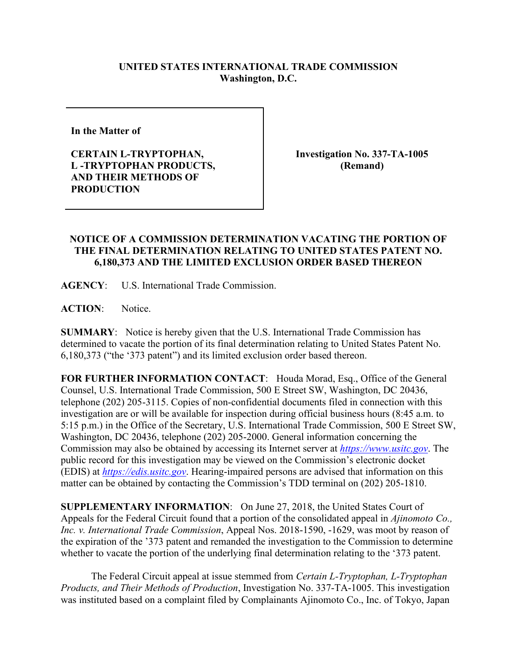## **UNITED STATES INTERNATIONAL TRADE COMMISSION Washington, D.C.**

**In the Matter of** 

**CERTAIN L-TRYPTOPHAN, L -TRYPTOPHAN PRODUCTS, AND THEIR METHODS OF PRODUCTION**

**Investigation No. 337-TA-1005 (Remand)**

## **NOTICE OF A COMMISSION DETERMINATION VACATING THE PORTION OF THE FINAL DETERMINATION RELATING TO UNITED STATES PATENT NO. 6,180,373 AND THE LIMITED EXCLUSION ORDER BASED THEREON**

**AGENCY**: U.S. International Trade Commission.

**ACTION**: Notice.

**SUMMARY**: Notice is hereby given that the U.S. International Trade Commission has determined to vacate the portion of its final determination relating to United States Patent No. 6,180,373 ("the '373 patent") and its limited exclusion order based thereon.

**FOR FURTHER INFORMATION CONTACT**: Houda Morad, Esq., Office of the General Counsel, U.S. International Trade Commission, 500 E Street SW, Washington, DC 20436, telephone (202) 205-3115. Copies of non-confidential documents filed in connection with this investigation are or will be available for inspection during official business hours (8:45 a.m. to 5:15 p.m.) in the Office of the Secretary, U.S. International Trade Commission, 500 E Street SW, Washington, DC 20436, telephone (202) 205-2000. General information concerning the Commission may also be obtained by accessing its Internet server at *[https://www.usitc.gov](https://www.usitc.gov/)*. The public record for this investigation may be viewed on the Commission's electronic docket (EDIS) at *[https://edis.usitc.gov](https://edis.usitc.gov/)*. Hearing-impaired persons are advised that information on this matter can be obtained by contacting the Commission's TDD terminal on (202) 205-1810.

**SUPPLEMENTARY INFORMATION**: On June 27, 2018, the United States Court of Appeals for the Federal Circuit found that a portion of the consolidated appeal in *Ajinomoto Co., Inc. v. International Trade Commission*, Appeal Nos. 2018-1590, -1629, was moot by reason of the expiration of the '373 patent and remanded the investigation to the Commission to determine whether to vacate the portion of the underlying final determination relating to the '373 patent.

The Federal Circuit appeal at issue stemmed from *Certain L-Tryptophan, L-Tryptophan Products, and Their Methods of Production*, Investigation No. 337-TA-1005. This investigation was instituted based on a complaint filed by Complainants Ajinomoto Co., Inc. of Tokyo, Japan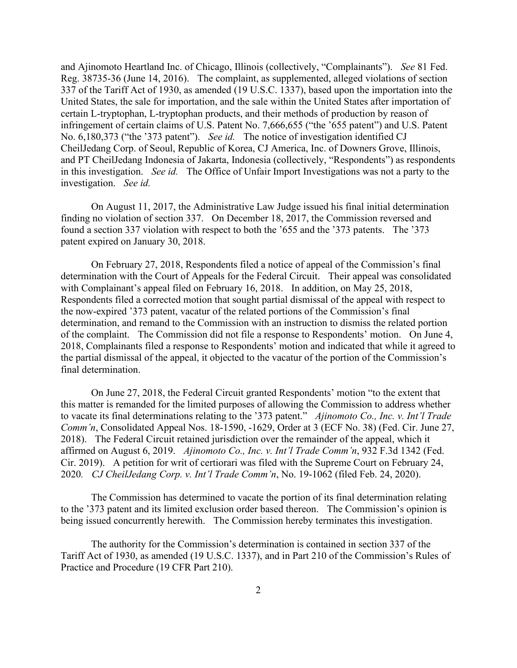and Ajinomoto Heartland Inc. of Chicago, Illinois (collectively, "Complainants"). *See* 81 Fed. Reg. 38735-36 (June 14, 2016). The complaint, as supplemented, alleged violations of section 337 of the Tariff Act of 1930, as amended (19 U.S.C. 1337), based upon the importation into the United States, the sale for importation, and the sale within the United States after importation of certain L-tryptophan, L-tryptophan products, and their methods of production by reason of infringement of certain claims of U.S. Patent No. 7,666,655 ("the '655 patent") and U.S. Patent No. 6,180,373 ("the '373 patent"). *See id.* The notice of investigation identified CJ CheilJedang Corp. of Seoul, Republic of Korea, CJ America, Inc. of Downers Grove, Illinois, and PT CheilJedang Indonesia of Jakarta, Indonesia (collectively, "Respondents") as respondents in this investigation. *See id.* The Office of Unfair Import Investigations was not a party to the investigation. *See id.*

On August 11, 2017, the Administrative Law Judge issued his final initial determination finding no violation of section 337. On December 18, 2017, the Commission reversed and found a section 337 violation with respect to both the '655 and the '373 patents. The '373 patent expired on January 30, 2018.

On February 27, 2018, Respondents filed a notice of appeal of the Commission's final determination with the Court of Appeals for the Federal Circuit. Their appeal was consolidated with Complainant's appeal filed on February 16, 2018. In addition, on May 25, 2018, Respondents filed a corrected motion that sought partial dismissal of the appeal with respect to the now-expired '373 patent, vacatur of the related portions of the Commission's final determination, and remand to the Commission with an instruction to dismiss the related portion of the complaint. The Commission did not file a response to Respondents' motion. On June 4, 2018, Complainants filed a response to Respondents' motion and indicated that while it agreed to the partial dismissal of the appeal, it objected to the vacatur of the portion of the Commission's final determination.

On June 27, 2018, the Federal Circuit granted Respondents' motion "to the extent that this matter is remanded for the limited purposes of allowing the Commission to address whether to vacate its final determinations relating to the '373 patent." *Ajinomoto Co., Inc. v. Int'l Trade Comm'n*, Consolidated Appeal Nos. 18-1590, -1629, Order at 3 (ECF No. 38) (Fed. Cir. June 27, 2018). The Federal Circuit retained jurisdiction over the remainder of the appeal, which it affirmed on August 6, 2019. *Ajinomoto Co., Inc. v. Int'l Trade Comm'n*, 932 F.3d 1342 (Fed. Cir. 2019). A petition for writ of certiorari was filed with the Supreme Court on February 24, 2020*. CJ CheilJedang Corp. v. Int'l Trade Comm'n*, No. 19-1062 (filed Feb. 24, 2020).

The Commission has determined to vacate the portion of its final determination relating to the '373 patent and its limited exclusion order based thereon. The Commission's opinion is being issued concurrently herewith. The Commission hereby terminates this investigation.

The authority for the Commission's determination is contained in section 337 of the Tariff Act of 1930, as amended (19 U.S.C. 1337), and in Part 210 of the Commission's Rules of Practice and Procedure (19 CFR Part 210).